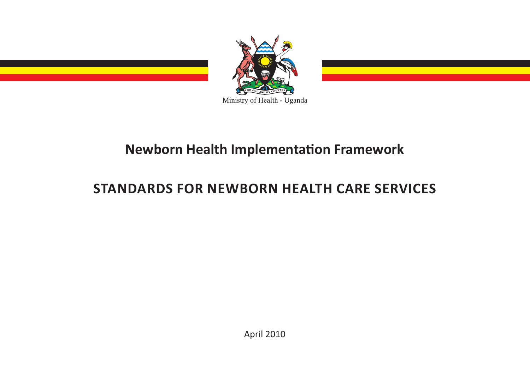

# **Newborn Health Implementation Framework**

# **STANDARDS FOR NEWBORN HEALTH CARE SERVICES**

April 2010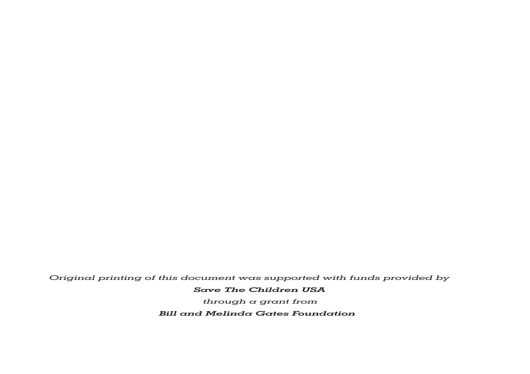*Original printing of this document was supported with funds provided by* 

### *Save The Children USA*

*through a grant from* 

*Bill and Melinda Gates Foundation*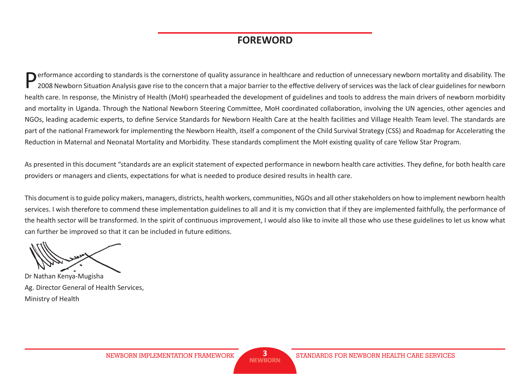## **FOREWORD**

Performance according to standards is the cornerstone of quality assurance in healthcare and reduction of unnecessary newborn mortality and disability. The 2008 Newborn Situation Analysis gave rise to the concern that a major barrier to the effective delivery of services was the lack of clear guidelines for newborn health care. In response, the Ministry of Health (MoH) spearheaded the development of guidelines and tools to address the main drivers of newborn morbidity and mortality in Uganda. Through the National Newborn Steering Committee, MoH coordinated collaboration, involving the UN agencies, other agencies and NGOs, leading academic experts, to define Service Standards for Newborn Health Care at the health facilities and Village Health Team level. The standards are part of the national Framework for implementing the Newborn Health, itself a component of the Child Survival Strategy (CSS) and Roadmap for Accelerating the Reduction in Maternal and Neonatal Mortality and Morbidity. These standards compliment the MoH existing quality of care Yellow Star Program.

As presented in this document "standards are an explicit statement of expected performance in newborn health care activities. They define, for both health care providers or managers and clients, expectations for what is needed to produce desired results in health care.

This document is to guide policy makers, managers, districts, health workers, communities, NGOs and all other stakeholders on how to implement newborn health services. I wish therefore to commend these implementation guidelines to all and it is my conviction that if they are implemented faithfully, the performance of the health sector will be transformed. In the spirit of continuous improvement, I would also like to invite all those who use these guidelines to let us know what can further be improved so that it can be included in future editions.

Dr Nathan Kenya-Mugisha Ag. Director General of Health Services, Ministry of Health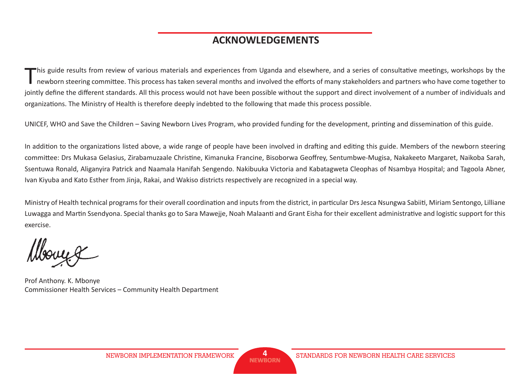## **ACKNOWLEDGEMENTS**

This guide results from review of various materials and experiences from Uganda and elsewhere, and a series of consultative meetings, workshops by the newborn steering committee. This process has taken several months and i jointly define the different standards. All this process would not have been possible without the support and direct involvement of a number of individuals and organizations. The Ministry of Health is therefore deeply indebted to the following that made this process possible.

UNICEF, WHO and Save the Children – Saving Newborn Lives Program, who provided funding for the development, printing and dissemination of this guide.

In addition to the organizations listed above, a wide range of people have been involved in drafting and editing this guide. Members of the newborn steering committee: Drs Mukasa Gelasius, Zirabamuzaale Christine, Kimanuka Francine, Bisoborwa Geoffrey, Sentumbwe-Mugisa, Nakakeeto Margaret, Naikoba Sarah, Ssentuwa Ronald, Aliganyira Patrick and Naamala Hanifah Sengendo. Nakibuuka Victoria and Kabatagweta Cleophas of Nsambya Hospital; and Tagoola Abner, Ivan Kiyuba and Kato Esther from Jinja, Rakai, and Wakiso districts respectively are recognized in a special way.

Ministry of Health technical programs for their overall coordination and inputs from the district, in particular Drs Jesca Nsungwa Sabiiti, Miriam Sentongo, Lilliane Luwagga and Martin Ssendyona. Special thanks go to Sara Mawejje, Noah Malaanti and Grant Eisha for their excellent administrative and logistic support for this exercise.

Prof Anthony. K. Mbonye Commissioner Health Services – Community Health Department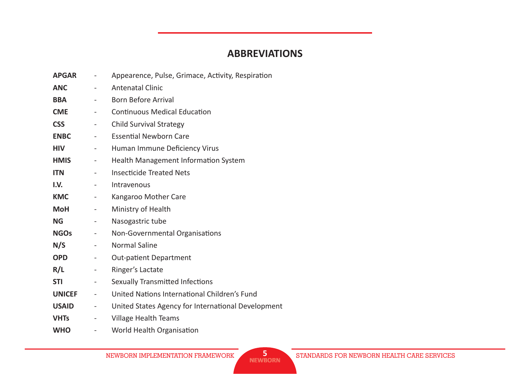## **ABBREVIATIONS**

| <b>APGAR</b>  | $\overline{\phantom{a}}$     | Appearence, Pulse, Grimace, Activity, Respiration  |
|---------------|------------------------------|----------------------------------------------------|
| <b>ANC</b>    |                              | <b>Antenatal Clinic</b>                            |
| <b>BBA</b>    | $\overline{\phantom{a}}$     | <b>Born Before Arrival</b>                         |
| <b>CME</b>    | $\overline{\phantom{a}}$     | <b>Continuous Medical Education</b>                |
| <b>CSS</b>    | $\overline{\phantom{a}}$     | <b>Child Survival Strategy</b>                     |
| <b>ENBC</b>   | $\overline{\phantom{a}}$     | <b>Essential Newborn Care</b>                      |
| <b>HIV</b>    | $\overline{\phantom{a}}$     | Human Immune Deficiency Virus                      |
| <b>HMIS</b>   | $\overline{\phantom{a}}$     | Health Management Information System               |
| <b>ITN</b>    |                              | <b>Insecticide Treated Nets</b>                    |
| I.V.          | $\overline{\phantom{a}}$     | Intravenous                                        |
| <b>KMC</b>    | $\overline{\phantom{a}}$     | Kangaroo Mother Care                               |
| <b>MoH</b>    | $\overline{\phantom{a}}$     | Ministry of Health                                 |
| <b>NG</b>     | $\overline{\phantom{a}}$     | Nasogastric tube                                   |
| <b>NGOs</b>   | $\qquad \qquad \blacksquare$ | Non-Governmental Organisations                     |
| N/S           | $\overline{\phantom{a}}$     | <b>Normal Saline</b>                               |
| <b>OPD</b>    | $\overline{\phantom{a}}$     | <b>Out-patient Department</b>                      |
| R/L           | $\overline{\phantom{a}}$     | Ringer's Lactate                                   |
| <b>STI</b>    | $\overline{\phantom{a}}$     | <b>Sexually Transmitted Infections</b>             |
| <b>UNICEF</b> | $\overline{\phantom{a}}$     | United Nations International Children's Fund       |
| <b>USAID</b>  | $\overline{\phantom{a}}$     | United States Agency for International Development |
| <b>VHTs</b>   |                              | Village Health Teams                               |
| <b>WHO</b>    |                              | World Health Organisation                          |

NEWBORN IMPLEMENTATION FRAMEWORK STANDARDS FOR NEWBORN HEALTH CARE SERVICES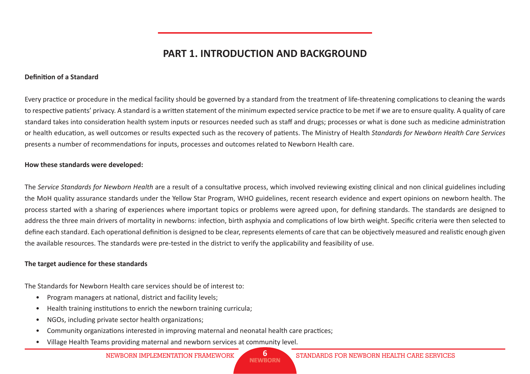# **PART 1. INTRODUCTION AND BACKGROUND**

#### **Definition of a Standard**

Every practice or procedure in the medical facility should be governed by a standard from the treatment of life-threatening complications to cleaning the wards to respective patients' privacy. A standard is a written statement of the minimum expected service practice to be met if we are to ensure quality. A quality of care standard takes into consideration health system inputs or resources needed such as staff and drugs; processes or what is done such as medicine administration or health education, as well outcomes or results expected such as the recovery of patients. The Ministry of Health *Standards for Newborn Health Care Services* presents a number of recommendations for inputs, processes and outcomes related to Newborn Health care.

#### **How these standards were developed:**

The *Service Standards for Newborn Health* are a result of a consultative process, which involved reviewing existing clinical and non clinical guidelines including the MoH quality assurance standards under the Yellow Star Program, WHO guidelines, recent research evidence and expert opinions on newborn health. The process started with a sharing of experiences where important topics or problems were agreed upon, for defining standards. The standards are designed to address the three main drivers of mortality in newborns: infection, birth asphyxia and complications of low birth weight. Specific criteria were then selected to define each standard. Each operational definition is designed to be clear, represents elements of care that can be objectively measured and realistic enough given the available resources. The standards were pre-tested in the district to verify the applicability and feasibility of use.

#### **The target audience for these standards**

The Standards for Newborn Health care services should be of interest to:

- Program managers at national, district and facility levels;
- Health training institutions to enrich the newborn training curricula;
- NGOs, including private sector health organizations;
- Community organizations interested in improving maternal and neonatal health care practices;
- Village Health Teams providing maternal and newborn services at community level.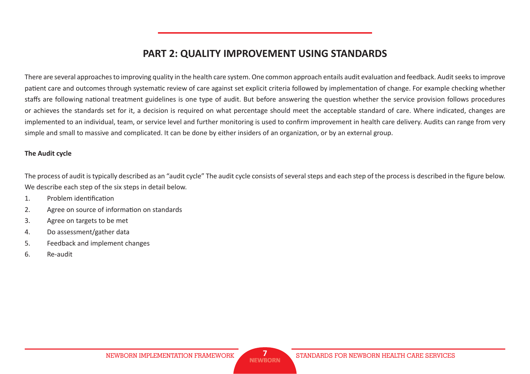# **PART 2: QUALITY IMPROVEMENT USING STANDARDS**

There are several approaches to improving quality in the health care system. One common approach entails audit evaluation and feedback. Audit seeks to improve patient care and outcomes through systematic review of care against set explicit criteria followed by implementation of change. For example checking whether staffs are following national treatment guidelines is one type of audit. But before answering the question whether the service provision follows procedures or achieves the standards set for it, a decision is required on what percentage should meet the acceptable standard of care. Where indicated, changes are implemented to an individual, team, or service level and further monitoring is used to confirm improvement in health care delivery. Audits can range from very simple and small to massive and complicated. It can be done by either insiders of an organization, or by an external group.

### **The Audit cycle**

The process of audit is typically described as an "audit cycle" The audit cycle consists of several steps and each step of the process is described in the figure below. We describe each step of the six steps in detail below.

- 1. Problem identification
- 2. Agree on source of information on standards
- 3. Agree on targets to be met
- 4. Do assessment/gather data
- 5. Feedback and implement changes
- 6. Re-audit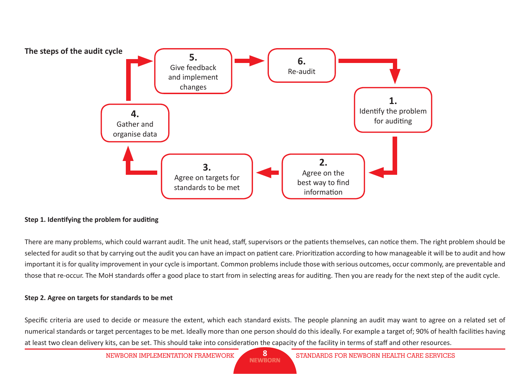

### **Step 1. Identifying the problem for auditing**

There are many problems, which could warrant audit. The unit head, staff, supervisors or the patients themselves, can notice them. The right problem should be selected for audit so that by carrying out the audit you can have an impact on patient care. Prioritization according to how manageable it will be to audit and how important it is for quality improvement in your cycle is important. Common problems include those with serious outcomes, occur commonly, are preventable and those that re-occur. The MoH standards offer a good place to start from in selecting areas for auditing. Then you are ready for the next step of the audit cycle.

#### **Step 2. Agree on targets for standards to be met**

Specific criteria are used to decide or measure the extent, which each standard exists. The people planning an audit may want to agree on a related set of numerical standards or target percentages to be met. Ideally more than one person should do this ideally. For example a target of; 90% of health facilities having at least two clean delivery kits, can be set. This should take into consideration the capacity of the facility in terms of staff and other resources.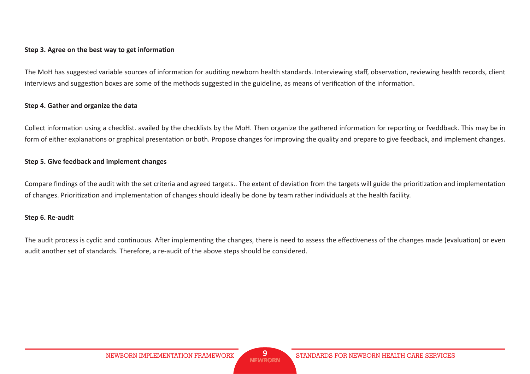#### **Step 3. Agree on the best way to get information**

The MoH has suggested variable sources of information for auditing newborn health standards. Interviewing staff, observation, reviewing health records, client interviews and suggestion boxes are some of the methods suggested in the guideline, as means of verification of the information.

#### **Step 4. Gather and organize the data**

Collect information using a checklist. availed by the checklists by the MoH. Then organize the gathered information for reporting or fveddback. This may be in form of either explanations or graphical presentation or both. Propose changes for improving the quality and prepare to give feedback, and implement changes.

#### **Step 5. Give feedback and implement changes**

Compare findings of the audit with the set criteria and agreed targets.. The extent of deviation from the targets will guide the prioritization and implementation of changes. Prioritization and implementation of changes should ideally be done by team rather individuals at the health facility.

### **Step 6. Re-audit**

The audit process is cyclic and continuous. After implementing the changes, there is need to assess the effectiveness of the changes made (evaluation) or even audit another set of standards. Therefore, a re-audit of the above steps should be considered.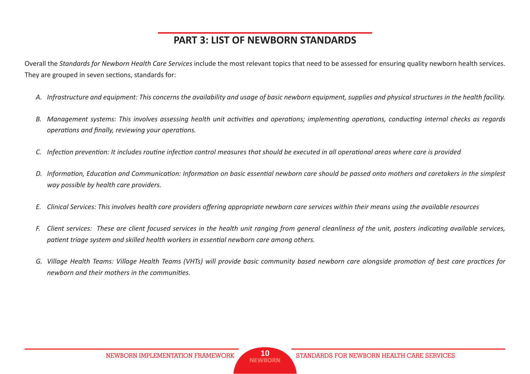# **PART 3: LIST OF NEWBORN STANDARDS**

Overall the *Standards for Newborn Health Care Services* include the most relevant topics that need to be assessed for ensuring quality newborn health services. They are grouped in seven sections, standards for:

- *A. Infrastructure and equipment: This concerns the availability and usage of basic newborn equipment, supplies and physical structures in the health facility.*
- *B.* Management systems: This involves assessing health unit activities and operations; implementing operations, conducting internal checks as regards *operations and finally, reviewing your operations.*
- *C.* Infection prevention: It includes routine infection control measures that should be executed in all operational areas where care is provided
- *D.* Information, Education and Communication: Information on basic essential newborn care should be passed onto mothers and caretakers in the simplest *way possible by health care providers.*
- E. Clinical Services: This involves health care providers offering appropriate newborn care services within their means using the available resources
- *F.* Client services: These are client focused services in the health unit ranging from general cleanliness of the unit, posters indicating available services, patient triage system and skilled health workers in essential newborn care among others.
- G. Village Health Teams: Village Health Teams (VHTs) will provide basic community based newborn care alongside promotion of best care practices for *newhorn and their mothers in the communities.*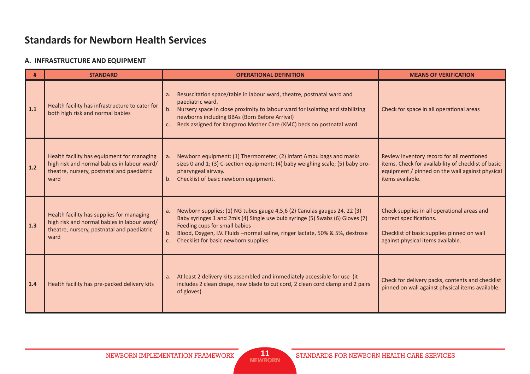# **Standards for Newborn Health Services**

### **A. INFRASTRUCTURE AND EQUIPMENT**

| #     | <b>STANDARD</b>                                                                                                                                 | <b>OPERATIONAL DEFINITION</b>                                                                                                                                                                                                                                                                                                          | <b>MEANS OF VERIFICATION</b>                                                                                                                                            |
|-------|-------------------------------------------------------------------------------------------------------------------------------------------------|----------------------------------------------------------------------------------------------------------------------------------------------------------------------------------------------------------------------------------------------------------------------------------------------------------------------------------------|-------------------------------------------------------------------------------------------------------------------------------------------------------------------------|
| 1.1   | Health facility has infrastructure to cater for<br>both high risk and normal babies                                                             | Resuscitation space/table in labour ward, theatre, postnatal ward and<br>a.<br>paediatric ward.<br>Nursery space in close proximity to labour ward for isolating and stabilizing<br>b.<br>newborns including BBAs (Born Before Arrival)<br>Beds assigned for Kangaroo Mother Care (KMC) beds on postnatal ward<br>c.                   | Check for space in all operational areas                                                                                                                                |
| $1.2$ | Health facility has equipment for managing<br>high risk and normal babies in labour ward/<br>theatre, nursery, postnatal and paediatric<br>ward | Newborn equipment: (1) Thermometer; (2) Infant Ambu bags and masks<br>a.<br>sizes 0 and 1; (3) C-section equipment; (4) baby weighing scale; (5) baby oro-<br>pharyngeal airway.<br>Checklist of basic newborn equipment.<br>b.                                                                                                        | Review inventory record for all mentioned<br>items. Check for availability of checklist of basic<br>equipment / pinned on the wall against physical<br>items available. |
| 1.3   | Health facility has supplies for managing<br>high risk and normal babies in labour ward/<br>theatre, nursery, postnatal and paediatric<br>ward  | Newborn supplies; (1) NG tubes gauge 4,5,6 (2) Canulas gauges 24, 22 (3)<br>a.<br>Baby syringes 1 and 2mls (4) Single use bulb syringe (5) Swabs (6) Gloves (7)<br>Feeding cups for small babies<br>Blood, Oxygen, I.V. Fluids -normal saline, ringer lactate, 50% & 5%, dextrose<br>b.<br>Checklist for basic newborn supplies.<br>c. | Check supplies in all operational areas and<br>correct specifications.<br>Checklist of basic supplies pinned on wall<br>against physical items available.               |
| 1.4   | Health facility has pre-packed delivery kits                                                                                                    | At least 2 delivery kits assembled and immediately accessible for use (it<br>a.<br>includes 2 clean drape, new blade to cut cord, 2 clean cord clamp and 2 pairs<br>of gloves)                                                                                                                                                         | Check for delivery packs, contents and checklist<br>pinned on wall against physical items available.                                                                    |

**11**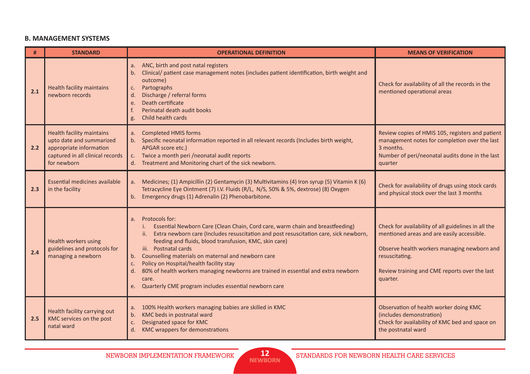#### **B. MANAGEMENT SYSTEMS**

| #   | <b>STANDARD</b>                                                                                                                            | <b>OPERATIONAL DEFINITION</b>                                                                                                                                                                                                                                                                                                                                                                                                                                                                                                                                                                   | <b>MEANS OF VERIFICATION</b>                                                                                                                                                                                                    |
|-----|--------------------------------------------------------------------------------------------------------------------------------------------|-------------------------------------------------------------------------------------------------------------------------------------------------------------------------------------------------------------------------------------------------------------------------------------------------------------------------------------------------------------------------------------------------------------------------------------------------------------------------------------------------------------------------------------------------------------------------------------------------|---------------------------------------------------------------------------------------------------------------------------------------------------------------------------------------------------------------------------------|
| 2.1 | <b>Health facility maintains</b><br>newborn records                                                                                        | ANC, birth and post natal registers<br>a.<br>Clinical/ patient case management notes (includes patient identification, birth weight and<br>b.<br>outcome)<br>Partographs<br>c.<br>Discharge / referral forms<br>d.<br>Death certificate<br>e.<br>Perinatal death audit books<br>f.<br>Child health cards<br>g.                                                                                                                                                                                                                                                                                  | Check for availability of all the records in the<br>mentioned operational areas                                                                                                                                                 |
| 2.2 | <b>Health facility maintains</b><br>upto date and summarized<br>appropriate information<br>captured in all clinical records<br>for newborn | <b>Completed HMIS forms</b><br>a.<br>b. Specific neonatal information reported in all relevant records (Includes birth weight,<br>APGAR score etc.)<br>c. Twice a month peri /neonatal audit reports<br>d. Treatment and Monitoring chart of the sick newborn.                                                                                                                                                                                                                                                                                                                                  | Review copies of HMIS 105, registers and patient<br>management notes for completion over the last<br>3 months.<br>Number of peri/neonatal audits done in the last<br>quarter                                                    |
| 2.3 | <b>Essential medicines available</b><br>in the facility                                                                                    | Medicines; (1) Ampicillin (2) Gentamycin (3) Multivitamins (4) Iron syrup (5) Vitamin K (6)<br>a.<br>Tetracycline Eye Ointment (7) I.V. Fluids (R/L, N/S, 50% & 5%, dextrose) (8) Oxygen<br>b. Emergency drugs (1) Adrenalin (2) Phenobarbitone.                                                                                                                                                                                                                                                                                                                                                | Check for availability of drugs using stock cards<br>and physical stock over the last 3 months                                                                                                                                  |
| 2.4 | Health workers using<br>guidelines and protocols for<br>managing a newborn                                                                 | Protocols for:<br>a <sub>z</sub><br>Essential Newborn Care (Clean Chain, Cord care, warm chain and breastfeeding)<br>Extra newborn care (Includes resuscitation and post resuscitation care, sick newborn,<br><b>AU</b><br>feeding and fluids, blood transfusion, KMC, skin care)<br>iii. Postnatal cards<br>Counselling materials on maternal and newborn care<br>b.<br>Policy on Hospital/health facility stay<br>c.<br>80% of health workers managing newborns are trained in essential and extra newborn<br>d.<br>care.<br>Quarterly CME program includes essential newborn care<br>$e_{1}$ | Check for availability of all guidelines in all the<br>mentioned areas and are easily accessible.<br>Observe health workers managing newborn and<br>resuscitating.<br>Review training and CME reports over the last<br>quarter. |
| 2.5 | Health facility carrying out<br>KMC services on the post<br>natal ward                                                                     | a. 100% Health workers managing babies are skilled in KMC<br>KMC beds in postnatal ward<br>b.<br>Designated space for KMC<br>c.<br>d.<br>KMC wrappers for demonstrations                                                                                                                                                                                                                                                                                                                                                                                                                        | Observation of health worker doing KMC<br>(includes demonstration)<br>Check for availability of KMC bed and space on<br>the postnatal ward                                                                                      |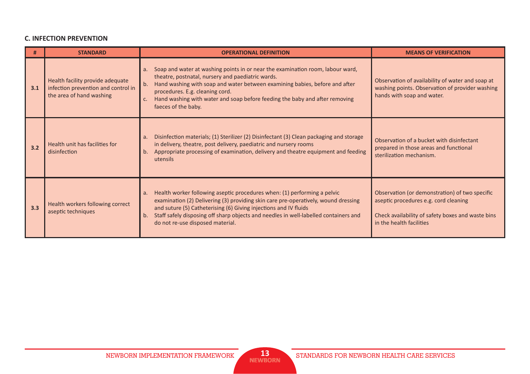### **C. INFECTION PREVENTION**

| #   | <b>STANDARD</b>                                                                                     | <b>OPERATIONAL DEFINITION</b>                                                                                                                                                                                                                                                                                                                                              | <b>MEANS OF VERIFICATION</b>                                                                                                                                             |
|-----|-----------------------------------------------------------------------------------------------------|----------------------------------------------------------------------------------------------------------------------------------------------------------------------------------------------------------------------------------------------------------------------------------------------------------------------------------------------------------------------------|--------------------------------------------------------------------------------------------------------------------------------------------------------------------------|
| 3.1 | Health facility provide adequate<br>infection prevention and control in<br>the area of hand washing | Soap and water at washing points in or near the examination room, labour ward,<br>theatre, postnatal, nursery and paediatric wards.<br>Hand washing with soap and water between examining babies, before and after<br>b.<br>procedures. E.g. cleaning cord.<br>Hand washing with water and soap before feeding the baby and after removing<br>faeces of the baby.          | Observation of availability of water and soap at<br>washing points. Observation of provider washing<br>hands with soap and water.                                        |
| 3.2 | Health unit has facilities for<br>disinfection                                                      | Disinfection materials; (1) Sterilizer (2) Disinfectant (3) Clean packaging and storage<br>a.<br>in delivery, theatre, post delivery, paediatric and nursery rooms<br>Appropriate processing of examination, delivery and theatre equipment and feeding<br>b.<br>utensils                                                                                                  | Observation of a bucket with disinfectant<br>prepared in those areas and functional<br>sterilization mechanism.                                                          |
| 3.3 | Health workers following correct<br>aseptic techniques                                              | Health worker following aseptic procedures when: (1) performing a pelvic<br>a.<br>examination (2) Delivering (3) providing skin care pre-operatively, wound dressing<br>and suture (5) Catheterising (6) Giving injections and IV fluids<br>Staff safely disposing off sharp objects and needles in well-labelled containers and<br>b.<br>do not re-use disposed material. | Observation (or demonstration) of two specific<br>aseptic procedures e.g. cord cleaning<br>Check availability of safety boxes and waste bins<br>in the health facilities |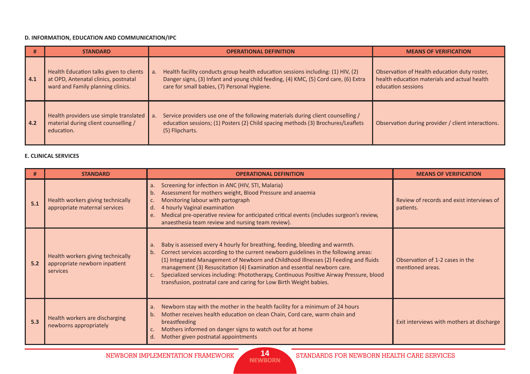#### **D. INFORMATION, EDUCATION AND COMMUNICATION/IPC**

| #   | <b>STANDARD</b>                                                                                                      | <b>OPERATIONAL DEFINITION</b>                                                                                                                                                                                                 | <b>MEANS OF VERIFICATION</b>                                                                                       |
|-----|----------------------------------------------------------------------------------------------------------------------|-------------------------------------------------------------------------------------------------------------------------------------------------------------------------------------------------------------------------------|--------------------------------------------------------------------------------------------------------------------|
| 4.1 | Health Education talks given to clients<br>at OPD, Antenatal clinics, postnatal<br>ward and Family planning clinics. | Health facility conducts group health education sessions including: (1) HIV, (2)<br>a.<br>Danger signs, (3) Infant and young child feeding, (4) KMC, (5) Cord care, (6) Extra<br>care for small babies, (7) Personal Hygiene. | Observation of Health education duty roster,<br>health education materials and actual health<br>education sessions |
| 4.2 | Health providers use simple translated<br>material during client counselling /<br>education.                         | Service providers use one of the following materials during client counselling /<br>a.<br>education sessions; (1) Posters (2) Child spacing methods (3) Brochures/Leaflets<br>(5) Flipcharts.                                 | Observation during provider / client interactions.                                                                 |

#### **E. CLINICAL SERVICES**

|     | <b>STANDARD</b>                                                                | <b>OPERATIONAL DEFINITION</b>                                                                                                                                                                                                                                                                                                                                                                                                                                                                                             | <b>MEANS OF VERIFICATION</b>                           |
|-----|--------------------------------------------------------------------------------|---------------------------------------------------------------------------------------------------------------------------------------------------------------------------------------------------------------------------------------------------------------------------------------------------------------------------------------------------------------------------------------------------------------------------------------------------------------------------------------------------------------------------|--------------------------------------------------------|
| 5.1 | Health workers giving technically<br>appropriate maternal services             | a. Screening for infection in ANC (HIV, STI, Malaria)<br>Assessment for mothers weight, Blood Pressure and anaemia<br>b.<br>Monitoring labour with partograph<br>4 hourly Vaginal examination<br>d.<br>Medical pre-operative review for anticipated critical events (includes surgeon's review,<br>e.<br>anaesthesia team review and nursing team review).                                                                                                                                                                | Review of records and exist interviews of<br>patients. |
| 5.2 | Health workers giving technically<br>appropriate newborn inpatient<br>services | Baby is assessed every 4 hourly for breathing, feeding, bleeding and warmth.<br>a.<br>Correct services according to the current newborn guidelines in the following areas:<br>b.<br>(1) Integrated Management of Newborn and Childhood Illnesses (2) Feeding and fluids<br>management (3) Resuscitation (4) Examination and essential newborn care.<br>c. Specialized services including: Phototherapy, Continuous Positive Airway Pressure, blood<br>transfusion, postnatal care and caring for Low Birth Weight babies. | Observation of 1-2 cases in the<br>mentioned areas.    |
| 5.3 | Health workers are discharging<br>newborns appropriately                       | a. Newborn stay with the mother in the health facility for a minimum of 24 hours<br>Mother receives health education on clean Chain, Cord care, warm chain and<br>b.<br>breastfeeding<br>Mothers informed on danger signs to watch out for at home<br>c.<br>Mother given postnatal appointments<br>d.                                                                                                                                                                                                                     | Exit interviews with mothers at discharge              |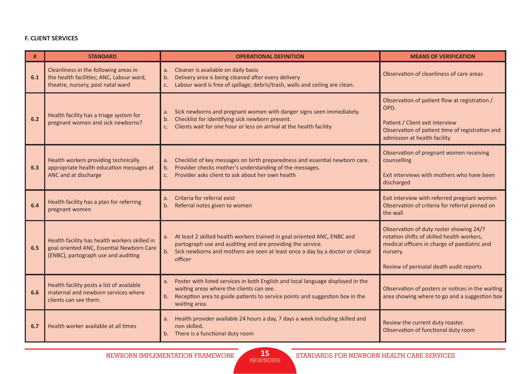#### **F. CLIENT SERVICES**

| #   | <b>STANDARD</b>                                                                                                                   | <b>OPERATIONAL DEFINITION</b>                                                                                                                                                                                                             | <b>MEANS OF VERIFICATION</b>                                                                                                                                                                 |
|-----|-----------------------------------------------------------------------------------------------------------------------------------|-------------------------------------------------------------------------------------------------------------------------------------------------------------------------------------------------------------------------------------------|----------------------------------------------------------------------------------------------------------------------------------------------------------------------------------------------|
| 6.1 | Cleanliness in the following areas in<br>the health facilities; ANC, Labour ward,<br>theatre, nursery, post natal ward            | Cleaner is available on daily basis<br>a.<br>Delivery area is being cleaned after every delivery<br>b.<br>Labour ward is free of spillage; debris/trash, walls and ceiling are clean.<br>c.                                               | Observation of cleanliness of care areas                                                                                                                                                     |
| 6.2 | Health facility has a triage system for<br>pregnant women and sick newborns?                                                      | a. Sick newborns and pregnant women with danger signs seen immediately.<br>Checklist for identifying sick newborn present.<br>b.<br>Clients wait for one hour or less on arrival at the health facility<br>C.                             | Observation of patient flow at registration /<br>OPD.<br>Patient / Client exit interview<br>Observation of patient time of registration and<br>admission at health facility                  |
| 6.3 | Health workers providing technically<br>appropriate health education messages at<br>ANC and at discharge                          | a. Checklist of key messages on birth preparedness and essential newborn care.<br>b. Provider checks mother's understanding of the messages.<br>Provider asks client to ask about her own health<br>$\mathsf{C}$ .                        | Observation of pregnant women receiving<br>counselling<br>Exit interviews with mothers who have been<br>discharged                                                                           |
| 6.4 | Health facility has a plan for referring<br>pregnant women                                                                        | Criteria for referral exist<br>a <sub>r</sub><br>Referral notes given to women<br>b.                                                                                                                                                      | Exit interview with referred pregnant women<br>Observation of criteria for referral pinned on<br>the wall                                                                                    |
| 6.5 | Health facility has health workers skilled in<br>goal oriented ANC, Essential Newborn Care<br>(ENBC), partograph use and auditing | a. At least 2 skilled health workers trained in goal oriented ANC, ENBC and<br>partograph use and auditing and are providing the service.<br>b. Sick newborns and mothers are seen at least once a day by a doctor or clinical<br>officer | Observation of duty roster showing 24/7<br>rotation shifts of skilled health workers,<br>medical officers in charge of paediatric and<br>nursery.<br>Review of perinatal death audit reports |
| 6.6 | Health facility posts a list of available<br>maternal and newborn services where<br>clients can see them.                         | Poster with listed services in both English and local language displayed in the<br>a.<br>waiting areas where the clients can see.<br>b. Reception area to guide patients to service points and suggestion box in the<br>waiting area.     | Observation of posters or notices in the waiting<br>area showing where to go and a suggestion box                                                                                            |
| 6.7 | Health worker available at all times                                                                                              | Health provider available 24 hours a day, 7 days a week including skilled and<br>a.<br>non skilled.<br>b. There is a functional duty room                                                                                                 | Review the current duty roaster.<br>Observation of functional duty room                                                                                                                      |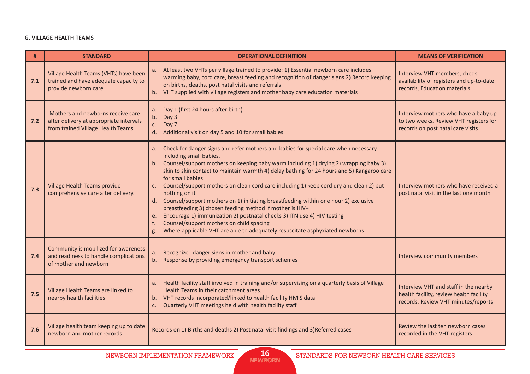#### **G. VILLAGE HEALTH TEAMS**

| #   | <b>STANDARD</b>                                                                                                   | <b>OPERATIONAL DEFINITION</b>                                                                                                                                                                                                                                                                                                                                                                                                                                                                                                                                                                                                                                                                                                                                                                                               | <b>MEANS OF VERIFICATION</b>                                                                                            |
|-----|-------------------------------------------------------------------------------------------------------------------|-----------------------------------------------------------------------------------------------------------------------------------------------------------------------------------------------------------------------------------------------------------------------------------------------------------------------------------------------------------------------------------------------------------------------------------------------------------------------------------------------------------------------------------------------------------------------------------------------------------------------------------------------------------------------------------------------------------------------------------------------------------------------------------------------------------------------------|-------------------------------------------------------------------------------------------------------------------------|
| 7.1 | Village Health Teams (VHTs) have been<br>trained and have adequate capacity to<br>provide newborn care            | At least two VHTs per village trained to provide: 1) Essential newborn care includes<br>a.<br>warming baby, cord care, breast feeding and recognition of danger signs 2) Record keeping<br>on births, deaths, post natal visits and referrals<br>b. VHT supplied with village registers and mother baby care education materials                                                                                                                                                                                                                                                                                                                                                                                                                                                                                            | Interview VHT members, check<br>availability of registers and up-to-date<br>records, Education materials                |
| 7.2 | Mothers and newborns receive care<br>after delivery at appropriate intervals<br>from trained Village Health Teams | Day 1 (first 24 hours after birth)<br>a.<br>Day 3<br>b.<br>Day 7<br>C.<br>d. Additional visit on day 5 and 10 for small babies                                                                                                                                                                                                                                                                                                                                                                                                                                                                                                                                                                                                                                                                                              | Interview mothers who have a baby up<br>to two weeks. Review VHT registers for<br>records on post natal care visits     |
| 7.3 | Village Health Teams provide<br>comprehensive care after delivery.                                                | Check for danger signs and refer mothers and babies for special care when necessary<br>a.<br>including small babies.<br>b. Counsel/support mothers on keeping baby warm including 1) drying 2) wrapping baby 3)<br>skin to skin contact to maintain warmth 4) delay bathing for 24 hours and 5) Kangaroo care<br>for small babies<br>Counsel/support mothers on clean cord care including 1) keep cord dry and clean 2) put<br>C.<br>nothing on it<br>d. Counsel/support mothers on 1) initiating breastfeeding within one hour 2) exclusive<br>breastfeeding 3) chosen feeding method if mother is HIV+<br>Encourage 1) immunization 2) postnatal checks 3) ITN use 4) HIV testing<br>e.<br>Counsel/support mothers on child spacing<br>f.<br>Where applicable VHT are able to adequately resuscitate asphyxiated newborns | Interview mothers who have received a<br>post natal visit in the last one month                                         |
| 7.4 | Community is mobilized for awareness<br>and readiness to handle complications<br>of mother and newborn            | Recognize danger signs in mother and baby<br>a.<br>Response by providing emergency transport schemes<br>b.                                                                                                                                                                                                                                                                                                                                                                                                                                                                                                                                                                                                                                                                                                                  | Interview community members                                                                                             |
| 7.5 | Village Health Teams are linked to<br>nearby health facilities                                                    | Health facility staff involved in training and/or supervising on a quarterly basis of Village<br>a.<br>Health Teams in their catchment areas.<br>b. VHT records incorporated/linked to health facility HMIS data<br>c. Quarterly VHT meetings held with health facility staff                                                                                                                                                                                                                                                                                                                                                                                                                                                                                                                                               | Interview VHT and staff in the nearby<br>health facility, review health facility<br>records. Review VHT minutes/reports |
| 7.6 | Village health team keeping up to date<br>newborn and mother records                                              | Records on 1) Births and deaths 2) Post natal visit findings and 3) Referred cases                                                                                                                                                                                                                                                                                                                                                                                                                                                                                                                                                                                                                                                                                                                                          | Review the last ten newborn cases<br>recorded in the VHT registers                                                      |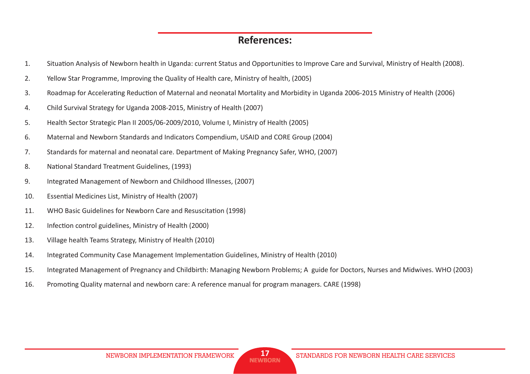### **References:**

- 1. Situation Analysis of Newborn health in Uganda: current Status and Opportunities to Improve Care and Survival, Ministry of Health (2008).
- 2. Yellow Star Programme, Improving the Quality of Health care, Ministry of health, (2005)
- 3. Roadmap for Accelerating Reduction of Maternal and neonatal Mortality and Morbidity in Uganda 2006-2015 Ministry of Health (2006)
- 4. Child Survival Strategy for Uganda 2008-2015, Ministry of Health (2007)
- 5. Health Sector Strategic Plan II 2005/06-2009/2010, Volume I, Ministry of Health (2005)
- 6. Maternal and Newborn Standards and Indicators Compendium, USAID and CORE Group (2004)
- 7. Standards for maternal and neonatal care. Department of Making Pregnancy Safer, WHO, (2007)
- 8. National Standard Treatment Guidelines, (1993)
- 9. Integrated Management of Newborn and Childhood Illnesses, (2007)
- 10. Essential Medicines List, Ministry of Health (2007)
- 11. WHO Basic Guidelines for Newborn Care and Resuscitation (1998)
- 12. Infection control guidelines, Ministry of Health (2000)
- 13. Village health Teams Strategy, Ministry of Health (2010)
- 14. Integrated Community Case Management Implementation Guidelines, Ministry of Health (2010)
- 15. Integrated Management of Pregnancy and Childbirth: Managing Newborn Problems; A guide for Doctors, Nurses and Midwives. WHO (2003)
- 16. Promoting Quality maternal and newborn care: A reference manual for program managers. CARE (1998)